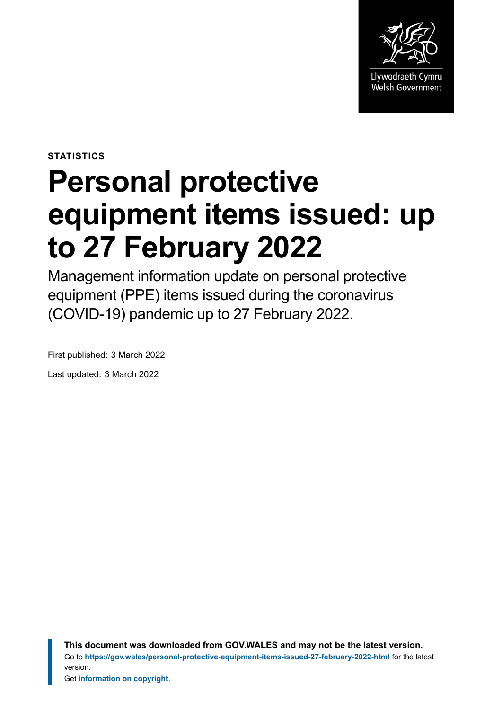

**STATISTICS**

# **Personal protective equipment items issued: up to 27 February 2022**

Management information update on personal protective equipment (PPE) items issued during the coronavirus (COVID-19) pandemic up to 27 February 2022.

First published: 3 March 2022 Last updated: 3 March 2022

> **This document was downloaded from GOV.WALES and may not be the latest version.** Go to **<https://gov.wales/personal-protective-equipment-items-issued-27-february-2022-html>** for the latest version.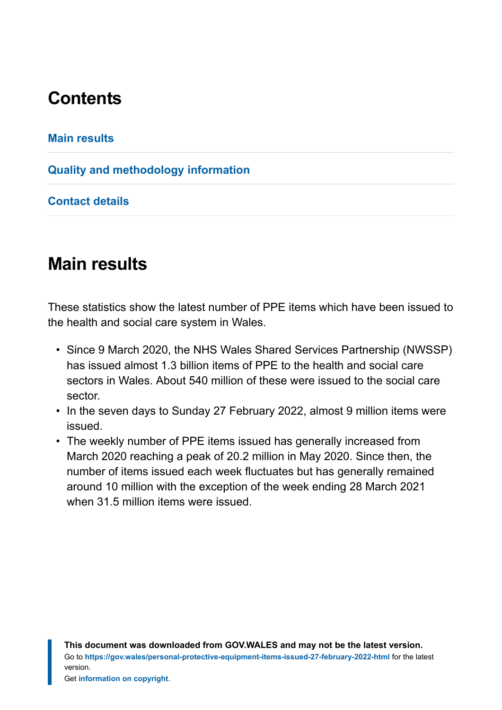# **Contents**

#### **[Main results](#page-1-0)**

#### **[Quality and methodology information](#page-5-0)**

**[Contact details](#page-7-0)**

## <span id="page-1-0"></span>**Main results**

These statistics show the latest number of PPE items which have been issued to the health and social care system in Wales.

- Since 9 March 2020, the NHS Wales Shared Services Partnership (NWSSP) has issued almost 1.3 billion items of PPE to the health and social care sectors in Wales. About 540 million of these were issued to the social care sector.
- In the seven days to Sunday 27 February 2022, almost 9 million items were issued.
- The weekly number of PPE items issued has generally increased from March 2020 reaching a peak of 20.2 million in May 2020. Since then, the number of items issued each week fluctuates but has generally remained around 10 million with the exception of the week ending 28 March 2021 when 31.5 million items were issued.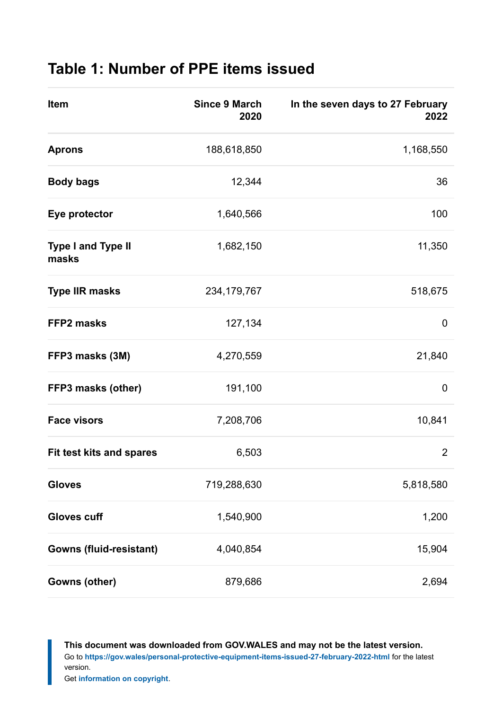## **Table 1: Number of PPE items issued**

| Item                               | <b>Since 9 March</b><br>2020 | In the seven days to 27 February<br>2022 |
|------------------------------------|------------------------------|------------------------------------------|
| <b>Aprons</b>                      | 188,618,850                  | 1,168,550                                |
| <b>Body bags</b>                   | 12,344                       | 36                                       |
| Eye protector                      | 1,640,566                    | 100                                      |
| <b>Type I and Type II</b><br>masks | 1,682,150                    | 11,350                                   |
| <b>Type IIR masks</b>              | 234, 179, 767                | 518,675                                  |
| <b>FFP2 masks</b>                  | 127,134                      | 0                                        |
| FFP3 masks (3M)                    | 4,270,559                    | 21,840                                   |
| FFP3 masks (other)                 | 191,100                      | 0                                        |
| <b>Face visors</b>                 | 7,208,706                    | 10,841                                   |
| <b>Fit test kits and spares</b>    | 6,503                        | $\overline{2}$                           |
| <b>Gloves</b>                      | 719,288,630                  | 5,818,580                                |
| <b>Gloves cuff</b>                 | 1,540,900                    | 1,200                                    |
| <b>Gowns (fluid-resistant)</b>     | 4,040,854                    | 15,904                                   |
| Gowns (other)                      | 879,686                      | 2,694                                    |

**This document was downloaded from GOV.WALES and may not be the latest version.** Go to **<https://gov.wales/personal-protective-equipment-items-issued-27-february-2022-html>** for the latest version.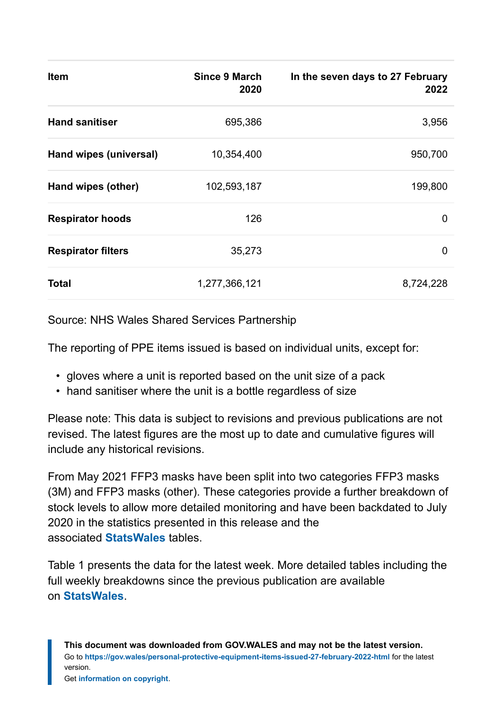| <b>Item</b>               | Since 9 March<br>2020 | In the seven days to 27 February<br>2022 |
|---------------------------|-----------------------|------------------------------------------|
| <b>Hand sanitiser</b>     | 695,386               | 3,956                                    |
| Hand wipes (universal)    | 10,354,400            | 950,700                                  |
| Hand wipes (other)        | 102,593,187           | 199,800                                  |
| <b>Respirator hoods</b>   | 126                   | 0                                        |
| <b>Respirator filters</b> | 35,273                | $\mathbf 0$                              |
| <b>Total</b>              | 1,277,366,121         | 8,724,228                                |

Source: NHS Wales Shared Services Partnership

The reporting of PPE items issued is based on individual units, except for:

- gloves where a unit is reported based on the unit size of a pack
- hand sanitiser where the unit is a bottle regardless of size

Please note: This data is subject to revisions and previous publications are not revised. The latest figures are the most up to date and cumulative figures will include any historical revisions.

From May 2021 FFP3 masks have been split into two categories FFP3 masks (3M) and FFP3 masks (other). These categories provide a further breakdown of stock levels to allow more detailed monitoring and have been backdated to July 2020 in the statistics presented in this release and the associated **[StatsWales](https://statswales.gov.wales/Catalogue/Health-and-Social-Care/NHS-Hospital-Activity/nhs-activity-and-capacity-during-the-coronavirus-pandemic/weeklynumberofppeitemsissued-by-date)** tables.

Table 1 presents the data for the latest week. More detailed tables including the full weekly breakdowns since the previous publication are available on **[StatsWales](https://statswales.gov.wales/Catalogue/Health-and-Social-Care/NHS-Hospital-Activity/nhs-activity-and-capacity-during-the-coronavirus-pandemic/weeklynumberofppeitemsissued-by-date)**.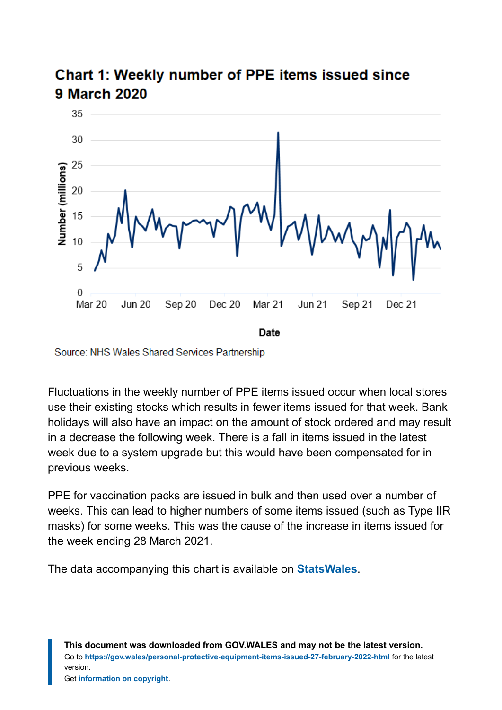

## Chart 1: Weekly number of PPE items issued since **9 March 2020**

Source: NHS Wales Shared Services Partnership

Fluctuations in the weekly number of PPE items issued occur when local stores use their existing stocks which results in fewer items issued for that week. Bank holidays will also have an impact on the amount of stock ordered and may result in a decrease the following week. There is a fall in items issued in the latest week due to a system upgrade but this would have been compensated for in previous weeks.

PPE for vaccination packs are issued in bulk and then used over a number of weeks. This can lead to higher numbers of some items issued (such as Type IIR masks) for some weeks. This was the cause of the increase in items issued for the week ending 28 March 2021.

The data accompanying this chart is available on **[StatsWales](https://statswales.gov.wales/Catalogue/Health-and-Social-Care/NHS-Hospital-Activity/nhs-activity-and-capacity-during-the-coronavirus-pandemic)**.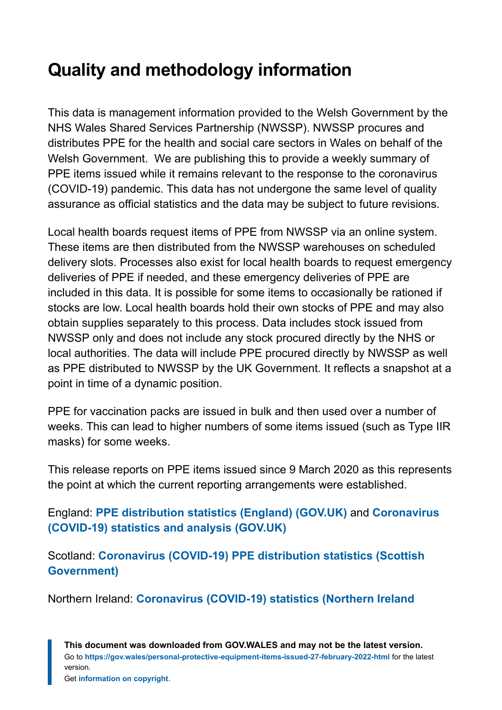# <span id="page-5-0"></span>**Quality and methodology information**

This data is management information provided to the Welsh Government by the NHS Wales Shared Services Partnership (NWSSP). NWSSP procures and distributes PPE for the health and social care sectors in Wales on behalf of the Welsh Government. We are publishing this to provide a weekly summary of PPE items issued while it remains relevant to the response to the coronavirus (COVID-19) pandemic. This data has not undergone the same level of quality assurance as official statistics and the data may be subject to future revisions.

Local health boards request items of PPE from NWSSP via an online system. These items are then distributed from the NWSSP warehouses on scheduled delivery slots. Processes also exist for local health boards to request emergency deliveries of PPE if needed, and these emergency deliveries of PPE are included in this data. It is possible for some items to occasionally be rationed if stocks are low. Local health boards hold their own stocks of PPE and may also obtain supplies separately to this process. Data includes stock issued from NWSSP only and does not include any stock procured directly by the NHS or local authorities. The data will include PPE procured directly by NWSSP as well as PPE distributed to NWSSP by the UK Government. It reflects a snapshot at a point in time of a dynamic position.

PPE for vaccination packs are issued in bulk and then used over a number of weeks. This can lead to higher numbers of some items issued (such as Type IIR masks) for some weeks.

This release reports on PPE items issued since 9 March 2020 as this represents the point at which the current reporting arrangements were established.

England: **[PPE distribution statistics \(England\) \(GOV.UK\)](https://www.gov.uk/government/collections/ppe-distribution-statistics-england)** and **[Coronavirus](https://www.gov.uk/guidance/coronavirus-covid-19-statistics-and-analysis) [\(COVID-19\) statistics and analysis \(GOV.UK\)](https://www.gov.uk/guidance/coronavirus-covid-19-statistics-and-analysis)**

Scotland: **[Coronavirus \(COVID-19\) PPE distribution statistics \(Scottish](https://www.gov.scot/publications/coronavirus-covid-19-ppe-distribution-statistics/) [Government\)](https://www.gov.scot/publications/coronavirus-covid-19-ppe-distribution-statistics/)**

Northern Ireland: **[Coronavirus \(COVID-19\) statistics \(Northern Ireland](https://www.nisra.gov.uk/statistics/ni-summary-statistics/coronavirus-covid-19-statistics)**

**This document was downloaded from GOV.WALES and may not be the latest version.** Go to **<https://gov.wales/personal-protective-equipment-items-issued-27-february-2022-html>** for the latest version.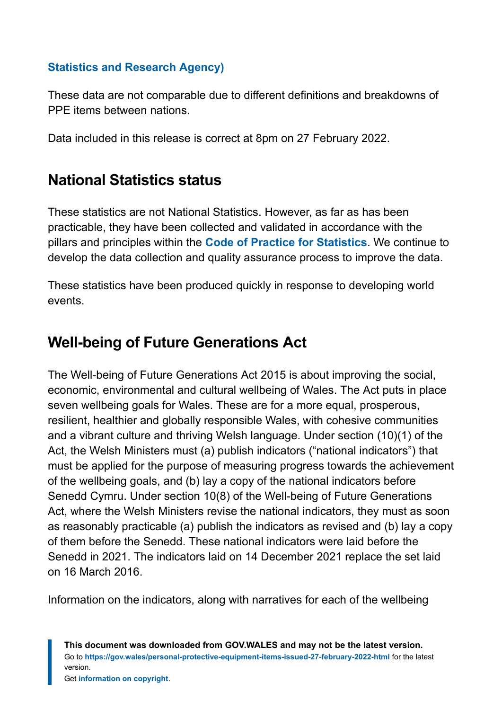#### **[Statistics and Research Agency\)](https://www.nisra.gov.uk/statistics/ni-summary-statistics/coronavirus-covid-19-statistics)**

These data are not comparable due to different definitions and breakdowns of PPE items between nations.

Data included in this release is correct at 8pm on 27 February 2022.

## **National Statistics status**

These statistics are not National Statistics. However, as far as has been practicable, they have been collected and validated in accordance with the pillars and principles within the **[Code of Practice for Statistics](https://code.statisticsauthority.gov.uk/)**. We continue to develop the data collection and quality assurance process to improve the data.

These statistics have been produced quickly in response to developing world events.

## **Well-being of Future Generations Act**

The Well-being of Future Generations Act 2015 is about improving the social, economic, environmental and cultural wellbeing of Wales. The Act puts in place seven wellbeing goals for Wales. These are for a more equal, prosperous, resilient, healthier and globally responsible Wales, with cohesive communities and a vibrant culture and thriving Welsh language. Under section (10)(1) of the Act, the Welsh Ministers must (a) publish indicators ("national indicators") that must be applied for the purpose of measuring progress towards the achievement of the wellbeing goals, and (b) lay a copy of the national indicators before Senedd Cymru. Under section 10(8) of the Well-being of Future Generations Act, where the Welsh Ministers revise the national indicators, they must as soon as reasonably practicable (a) publish the indicators as revised and (b) lay a copy of them before the Senedd. These national indicators were laid before the Senedd in 2021. The indicators laid on 14 December 2021 replace the set laid on 16 March 2016.

Information on the indicators, along with narratives for each of the wellbeing

**This document was downloaded from GOV.WALES and may not be the latest version.** Go to **<https://gov.wales/personal-protective-equipment-items-issued-27-february-2022-html>** for the latest version.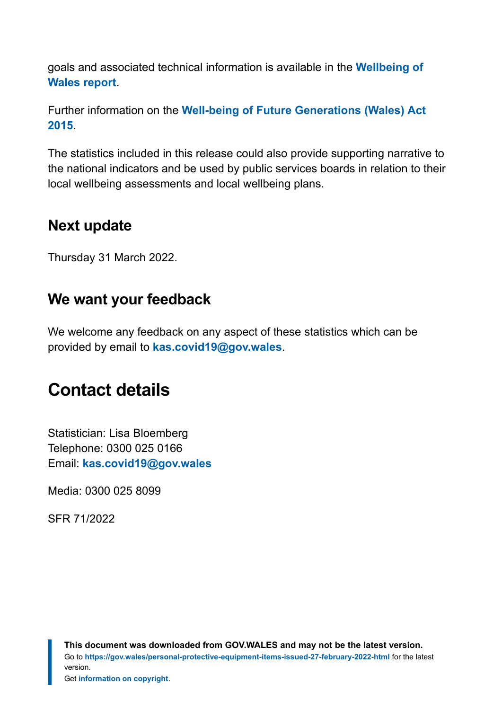goals and associated technical information is available in the **[Wellbeing of](https://gov.wales/wellbeing-wales) [Wales report](https://gov.wales/wellbeing-wales)**.

Further information on the **[Well-being of Future Generations \(Wales\) Act](https://gov.wales/well-being-future-generations-wales-act-2015-guidance) [2015](https://gov.wales/well-being-future-generations-wales-act-2015-guidance)**.

The statistics included in this release could also provide supporting narrative to the national indicators and be used by public services boards in relation to their local wellbeing assessments and local wellbeing plans.

## **Next update**

Thursday 31 March 2022.

### **We want your feedback**

We welcome any feedback on any aspect of these statistics which can be provided by email to **[kas.covid19@gov.wales](mailto:KAS.COVID19@gov.wales)**.

# <span id="page-7-0"></span>**Contact details**

Statistician: Lisa Bloemberg Telephone: 0300 025 0166 Email: **[kas.covid19@gov.wales](mailto:KAS.COVID19@gov.wales)**

Media: 0300 025 8099

SFR 71/2022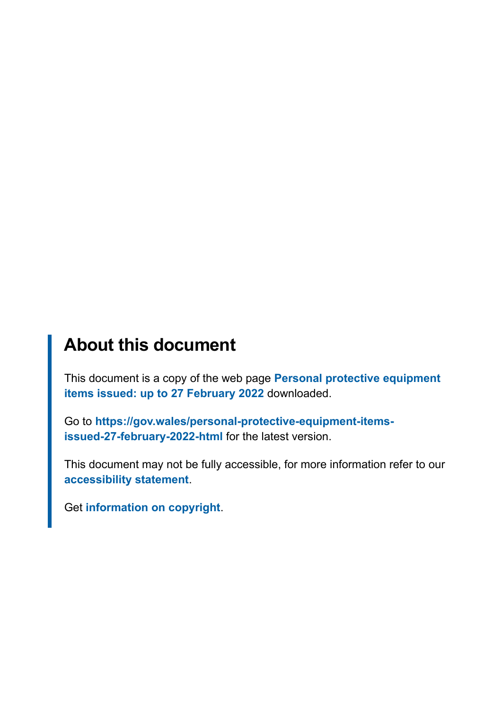# **About this document**

This document is a copy of the web page **[Personal protective equipment](https://gov.wales/personal-protective-equipment-items-issued-27-february-2022-html) [items issued: up to 27 February 2022](https://gov.wales/personal-protective-equipment-items-issued-27-february-2022-html)** downloaded.

Go to **[https://gov.wales/personal-protective-equipment-items](https://gov.wales/personal-protective-equipment-items-issued-27-february-2022-html)[issued-27-february-2022-html](https://gov.wales/personal-protective-equipment-items-issued-27-february-2022-html)** for the latest version.

This document may not be fully accessible, for more information refer to our **[accessibility statement](https://gov.wales/accessibility-statement-govwales)**.